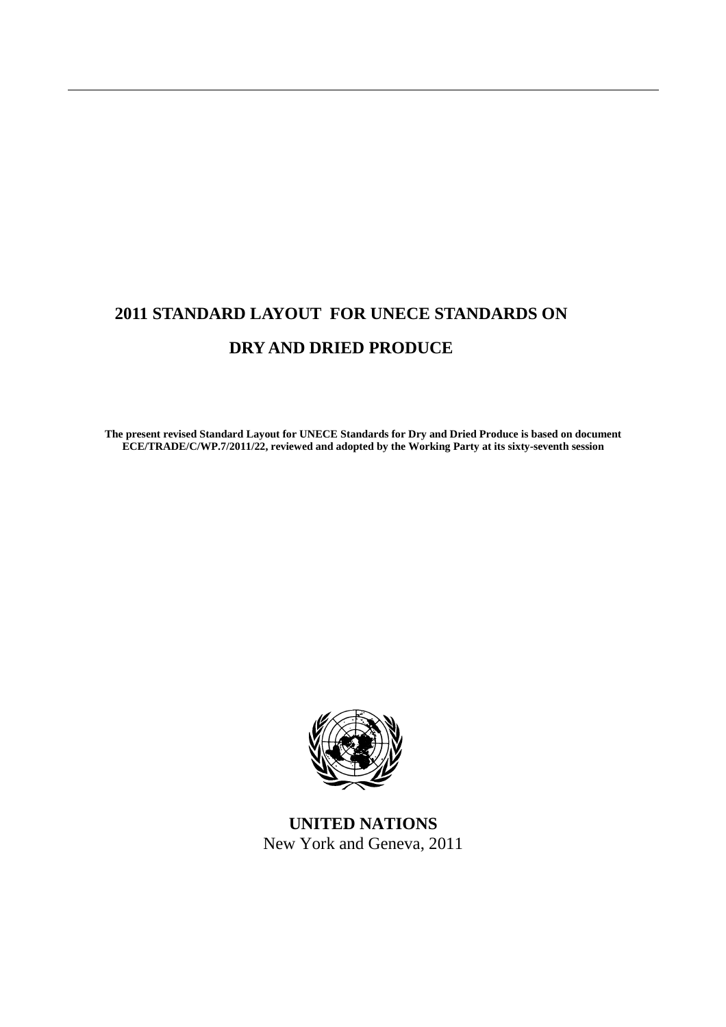# **2011 STANDARD LAYOUT FOR UNECE STANDARDS ON DRY AND DRIED PRODUCE**

**The present revised Standard Layout for UNECE Standards for Dry and Dried Produce is based on document ECE/TRADE/C/WP.7/2011/22, reviewed and adopted by the Working Party at its sixty-seventh session** 



**UNITED NATIONS**  New York and Geneva, 2011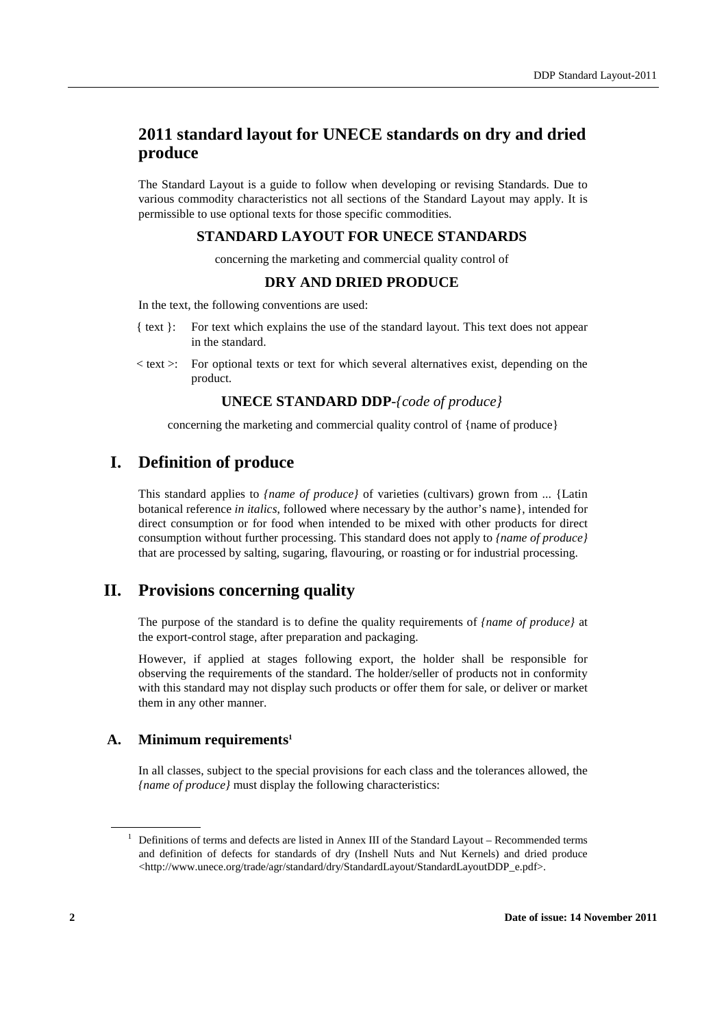# **2011 standard layout for UNECE standards on dry and dried produce**

The Standard Layout is a guide to follow when developing or revising Standards. Due to various commodity characteristics not all sections of the Standard Layout may apply. It is permissible to use optional texts for those specific commodities.

# **STANDARD LAYOUT FOR UNECE STANDARDS**

concerning the marketing and commercial quality control of

# **DRY AND DRIED PRODUCE**

In the text, the following conventions are used:

- { text }: For text which explains the use of the standard layout. This text does not appear in the standard.
- $\leq$  text  $\geq$ : For optional texts or text for which several alternatives exist, depending on the product.

# **UNECE STANDARD DDP**-*{code of produce}*

concerning the marketing and commercial quality control of {name of produce}

# **I. Definition of produce**

This standard applies to *{name of produce}* of varieties (cultivars) grown from ... {Latin botanical reference *in italics*, followed where necessary by the author's name}, intended for direct consumption or for food when intended to be mixed with other products for direct consumption without further processing. This standard does not apply to *{name of produce}* that are processed by salting, sugaring, flavouring, or roasting or for industrial processing.

# **II. Provisions concerning quality**

The purpose of the standard is to define the quality requirements of *{name of produce}* at the export-control stage, after preparation and packaging.

However, if applied at stages following export, the holder shall be responsible for observing the requirements of the standard. The holder/seller of products not in conformity with this standard may not display such products or offer them for sale, or deliver or market them in any other manner.

### **A. Minimum requirements<sup>1</sup>**

In all classes, subject to the special provisions for each class and the tolerances allowed, the *{name of produce}* must display the following characteristics:

<sup>&</sup>lt;sup>1</sup> Definitions of terms and defects are listed in Annex III of the Standard Layout – Recommended terms and definition of defects for standards of dry (Inshell Nuts and Nut Kernels) and dried produce <http://www.unece.org/trade/agr/standard/dry/StandardLayout/StandardLayoutDDP\_e.pdf>.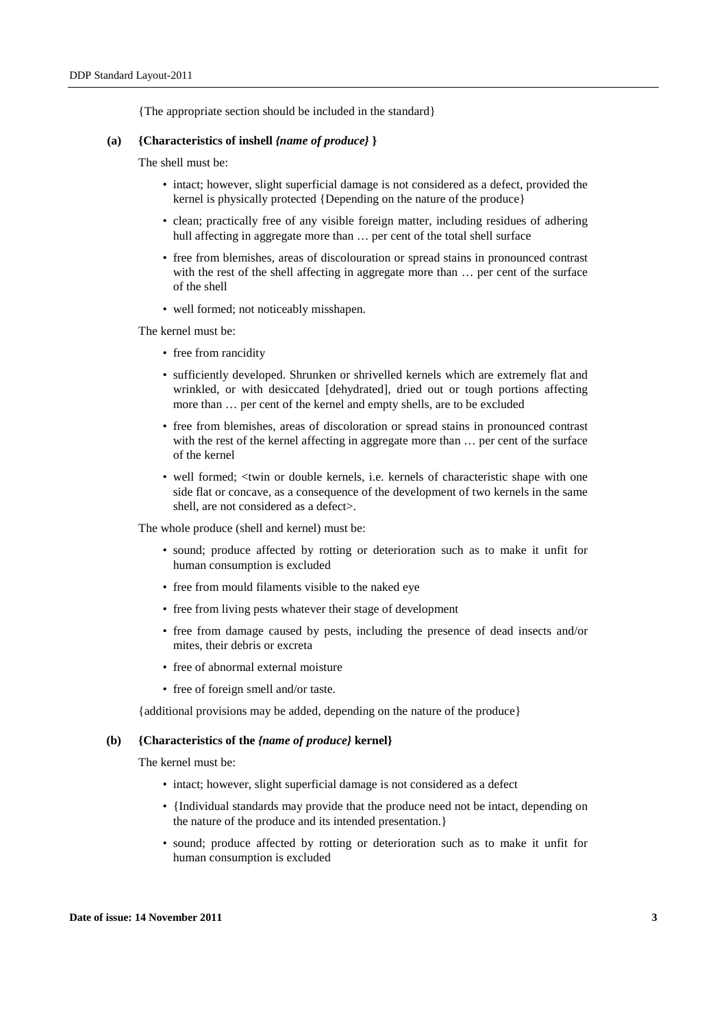{The appropriate section should be included in the standard}

#### **(a) {Characteristics of inshell** *{name of produce}* **}**

The shell must be:

- intact; however, slight superficial damage is not considered as a defect, provided the kernel is physically protected {Depending on the nature of the produce}
- clean; practically free of any visible foreign matter, including residues of adhering hull affecting in aggregate more than  $\ldots$  per cent of the total shell surface
- free from blemishes, areas of discolouration or spread stains in pronounced contrast with the rest of the shell affecting in aggregate more than ... per cent of the surface of the shell
- well formed; not noticeably misshapen.

The kernel must be:

- free from rancidity
- sufficiently developed. Shrunken or shrivelled kernels which are extremely flat and wrinkled, or with desiccated [dehydrated], dried out or tough portions affecting more than … per cent of the kernel and empty shells, are to be excluded
- free from blemishes, areas of discoloration or spread stains in pronounced contrast with the rest of the kernel affecting in aggregate more than ... per cent of the surface of the kernel
- well formed; <twin or double kernels, i.e. kernels of characteristic shape with one side flat or concave, as a consequence of the development of two kernels in the same shell, are not considered as a defect>.

The whole produce (shell and kernel) must be:

- sound; produce affected by rotting or deterioration such as to make it unfit for human consumption is excluded
- free from mould filaments visible to the naked eye
- free from living pests whatever their stage of development
- free from damage caused by pests, including the presence of dead insects and/or mites, their debris or excreta
- free of abnormal external moisture
- free of foreign smell and/or taste.

{additional provisions may be added, depending on the nature of the produce}

#### **(b) {Characteristics of the** *{name of produce}* **kernel}**

The kernel must be:

- intact: however, slight superficial damage is not considered as a defect
- {Individual standards may provide that the produce need not be intact, depending on the nature of the produce and its intended presentation.}
- sound; produce affected by rotting or deterioration such as to make it unfit for human consumption is excluded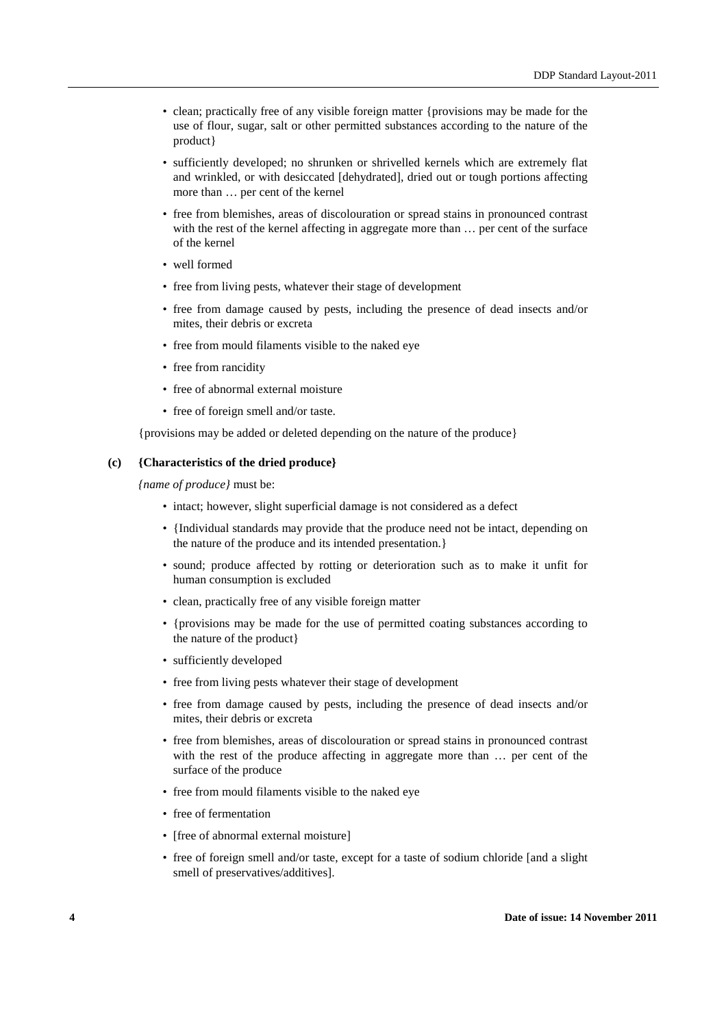- clean; practically free of any visible foreign matter {provisions may be made for the use of flour, sugar, salt or other permitted substances according to the nature of the product}
- sufficiently developed; no shrunken or shrivelled kernels which are extremely flat and wrinkled, or with desiccated [dehydrated], dried out or tough portions affecting more than … per cent of the kernel
- free from blemishes, areas of discolouration or spread stains in pronounced contrast with the rest of the kernel affecting in aggregate more than … per cent of the surface of the kernel
- well formed
- free from living pests, whatever their stage of development
- free from damage caused by pests, including the presence of dead insects and/or mites, their debris or excreta
- free from mould filaments visible to the naked eye
- free from rancidity
- free of abnormal external moisture
- free of foreign smell and/or taste.

{provisions may be added or deleted depending on the nature of the produce}

#### **(c) {Characteristics of the dried produce}**

*{name of produce}* must be:

- intact; however, slight superficial damage is not considered as a defect
- {Individual standards may provide that the produce need not be intact, depending on the nature of the produce and its intended presentation.}
- sound; produce affected by rotting or deterioration such as to make it unfit for human consumption is excluded
- clean, practically free of any visible foreign matter
- {provisions may be made for the use of permitted coating substances according to the nature of the product}
- sufficiently developed
- free from living pests whatever their stage of development
- free from damage caused by pests, including the presence of dead insects and/or mites, their debris or excreta
- free from blemishes, areas of discolouration or spread stains in pronounced contrast with the rest of the produce affecting in aggregate more than ... per cent of the surface of the produce
- free from mould filaments visible to the naked eye
- free of fermentation
- Ifree of abnormal external moisture]
- free of foreign smell and/or taste, except for a taste of sodium chloride [and a slight smell of preservatives/additives].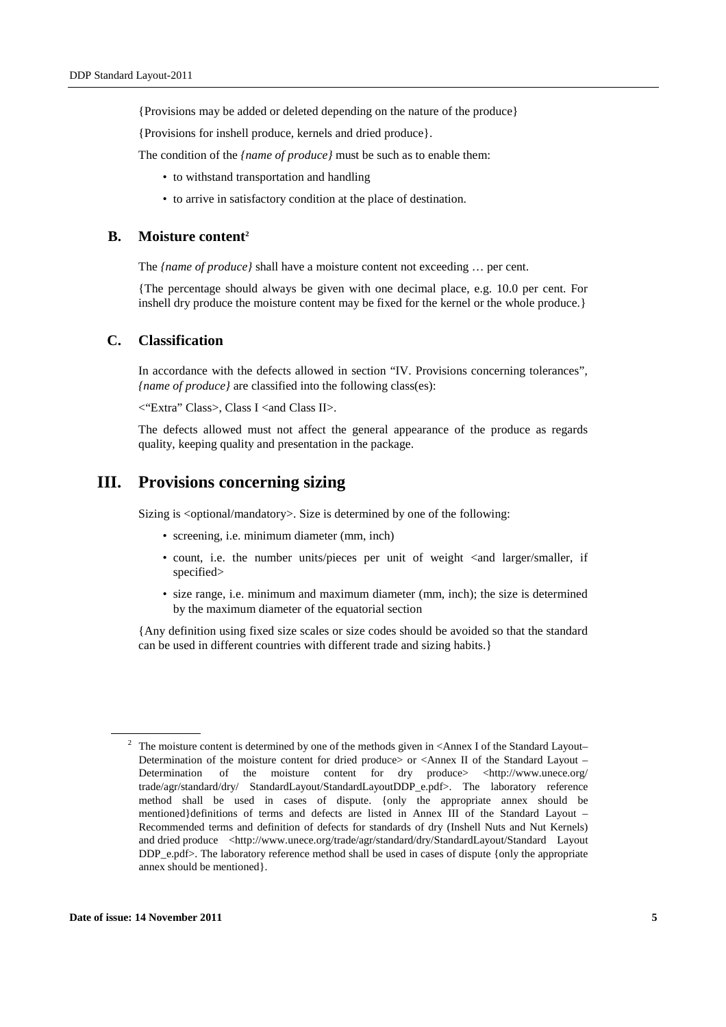{Provisions may be added or deleted depending on the nature of the produce}

{Provisions for inshell produce, kernels and dried produce}.

The condition of the *{name of produce}* must be such as to enable them:

- to withstand transportation and handling
- to arrive in satisfactory condition at the place of destination.

#### **B. Moisture content<sup>2</sup>**

The *{name of produce}* shall have a moisture content not exceeding ... per cent.

{The percentage should always be given with one decimal place, e.g. 10.0 per cent. For inshell dry produce the moisture content may be fixed for the kernel or the whole produce.}

#### **C. Classification**

In accordance with the defects allowed in section "IV. Provisions concerning tolerances", *{name of produce}* are classified into the following class(es):

 $\langle$ "Extra" Class>, Class I <and Class II>.

The defects allowed must not affect the general appearance of the produce as regards quality, keeping quality and presentation in the package.

# **III. Provisions concerning sizing**

Sizing is <optional/mandatory>. Size is determined by one of the following:

- screening, i.e. minimum diameter (mm, inch)
- count, i.e. the number units/pieces per unit of weight <and larger/smaller, if specified>
- size range, i.e. minimum and maximum diameter (mm, inch); the size is determined by the maximum diameter of the equatorial section

{Any definition using fixed size scales or size codes should be avoided so that the standard can be used in different countries with different trade and sizing habits.}

<sup>&</sup>lt;sup>2</sup> The moisture content is determined by one of the methods given in  $\leq$ Annex I of the Standard Layout– Determination of the moisture content for dried produce> or <Annex II of the Standard Layout – Determination of the moisture content for dry produce> <http://www.unece.org/ trade/agr/standard/dry/ StandardLayout/StandardLayoutDDP\_e.pdf>. The laboratory reference method shall be used in cases of dispute. {only the appropriate annex should be mentioned}definitions of terms and defects are listed in Annex III of the Standard Layout – Recommended terms and definition of defects for standards of dry (Inshell Nuts and Nut Kernels) and dried produce <http://www.unece.org/trade/agr/standard/dry/StandardLayout/Standard Layout DDP\_e.pdf>. The laboratory reference method shall be used in cases of dispute {only the appropriate annex should be mentioned}.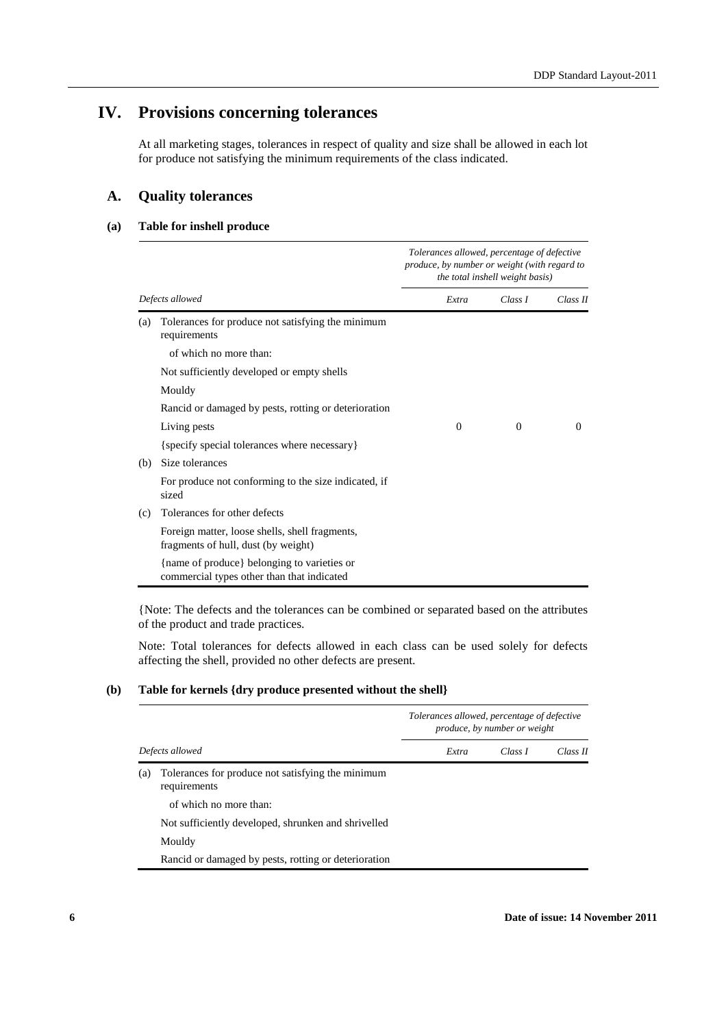# **IV. Provisions concerning tolerances**

At all marketing stages, tolerances in respect of quality and size shall be allowed in each lot for produce not satisfying the minimum requirements of the class indicated.

# **A. Quality tolerances**

#### **(a) Table for inshell produce**

|     |                                                                                           | Tolerances allowed, percentage of defective<br>produce, by number or weight (with regard to<br>the total inshell weight basis) |          |          |
|-----|-------------------------------------------------------------------------------------------|--------------------------------------------------------------------------------------------------------------------------------|----------|----------|
|     | Defects allowed                                                                           | Extra                                                                                                                          | Class I  | Class II |
| (a) | Tolerances for produce not satisfying the minimum<br>requirements                         |                                                                                                                                |          |          |
|     | of which no more than:                                                                    |                                                                                                                                |          |          |
|     | Not sufficiently developed or empty shells                                                |                                                                                                                                |          |          |
|     | Mouldy                                                                                    |                                                                                                                                |          |          |
|     | Rancid or damaged by pests, rotting or deterioration                                      |                                                                                                                                |          |          |
|     | Living pests                                                                              | $\Omega$                                                                                                                       | $\Omega$ | 0        |
|     | {specify special tolerances where necessary}                                              |                                                                                                                                |          |          |
| (b) | Size tolerances                                                                           |                                                                                                                                |          |          |
|     | For produce not conforming to the size indicated, if<br>sized                             |                                                                                                                                |          |          |
| (c) | Tolerances for other defects                                                              |                                                                                                                                |          |          |
|     | Foreign matter, loose shells, shell fragments,<br>fragments of hull, dust (by weight)     |                                                                                                                                |          |          |
|     | {name of produce} belonging to varieties or<br>commercial types other than that indicated |                                                                                                                                |          |          |

{Note: The defects and the tolerances can be combined or separated based on the attributes of the product and trade practices.

Note: Total tolerances for defects allowed in each class can be used solely for defects affecting the shell, provided no other defects are present.

#### **(b) Table for kernels {dry produce presented without the shell}**

|                 |                                                                   | Tolerances allowed, percentage of defective<br>produce, by number or weight |         |          |
|-----------------|-------------------------------------------------------------------|-----------------------------------------------------------------------------|---------|----------|
| Defects allowed |                                                                   | Extra                                                                       | Class I | Class II |
| (a)             | Tolerances for produce not satisfying the minimum<br>requirements |                                                                             |         |          |
|                 | of which no more than:                                            |                                                                             |         |          |
|                 | Not sufficiently developed, shrunken and shrivelled               |                                                                             |         |          |
|                 | Mouldy                                                            |                                                                             |         |          |
|                 | Rancid or damaged by pests, rotting or deterioration              |                                                                             |         |          |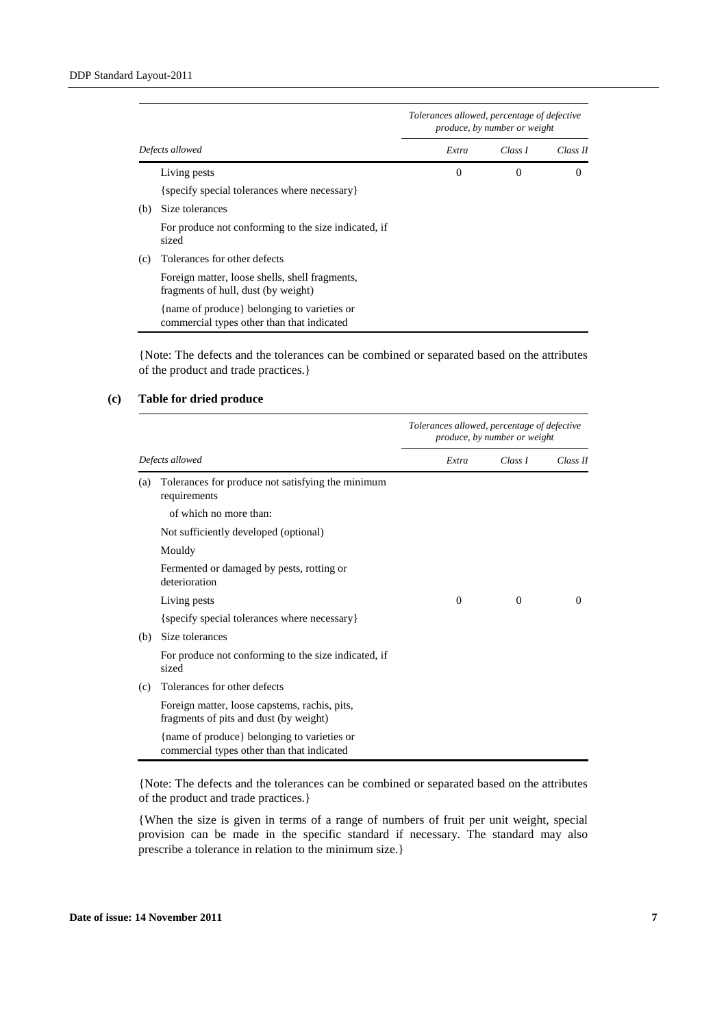|     |                                                                                           | Tolerances allowed, percentage of defective<br>produce, by number or weight |          |          |
|-----|-------------------------------------------------------------------------------------------|-----------------------------------------------------------------------------|----------|----------|
|     | Defects allowed                                                                           | Extra                                                                       | Class I  | Class II |
|     | Living pests                                                                              | $\Omega$                                                                    | $\Omega$ | 0        |
|     | {specify special tolerances where necessary}                                              |                                                                             |          |          |
| (b) | Size tolerances                                                                           |                                                                             |          |          |
|     | For produce not conforming to the size indicated, if<br>sized                             |                                                                             |          |          |
| (c) | Tolerances for other defects                                                              |                                                                             |          |          |
|     | Foreign matter, loose shells, shell fragments,<br>fragments of hull, dust (by weight)     |                                                                             |          |          |
|     | {name of produce} belonging to varieties or<br>commercial types other than that indicated |                                                                             |          |          |

{Note: The defects and the tolerances can be combined or separated based on the attributes of the product and trade practices.}

### **(c) Table for dried produce**

|     |                                                                                           | Tolerances allowed, percentage of defective<br>produce, by number or weight |          |          |
|-----|-------------------------------------------------------------------------------------------|-----------------------------------------------------------------------------|----------|----------|
|     | Defects allowed                                                                           | Extra                                                                       | Class I  | Class II |
| (a) | Tolerances for produce not satisfying the minimum<br>requirements                         |                                                                             |          |          |
|     | of which no more than:                                                                    |                                                                             |          |          |
|     | Not sufficiently developed (optional)                                                     |                                                                             |          |          |
|     | Mouldy                                                                                    |                                                                             |          |          |
|     | Fermented or damaged by pests, rotting or<br>deterioration                                |                                                                             |          |          |
|     | Living pests                                                                              | $\Omega$                                                                    | $\Omega$ | $\Omega$ |
|     | {specify special tolerances where necessary}                                              |                                                                             |          |          |
| (b) | Size tolerances                                                                           |                                                                             |          |          |
|     | For produce not conforming to the size indicated, if<br>sized                             |                                                                             |          |          |
| (c) | Tolerances for other defects                                                              |                                                                             |          |          |
|     | Foreign matter, loose capstems, rachis, pits,<br>fragments of pits and dust (by weight)   |                                                                             |          |          |
|     | {name of produce} belonging to varieties or<br>commercial types other than that indicated |                                                                             |          |          |

{Note: The defects and the tolerances can be combined or separated based on the attributes of the product and trade practices.}

{When the size is given in terms of a range of numbers of fruit per unit weight, special provision can be made in the specific standard if necessary. The standard may also prescribe a tolerance in relation to the minimum size.}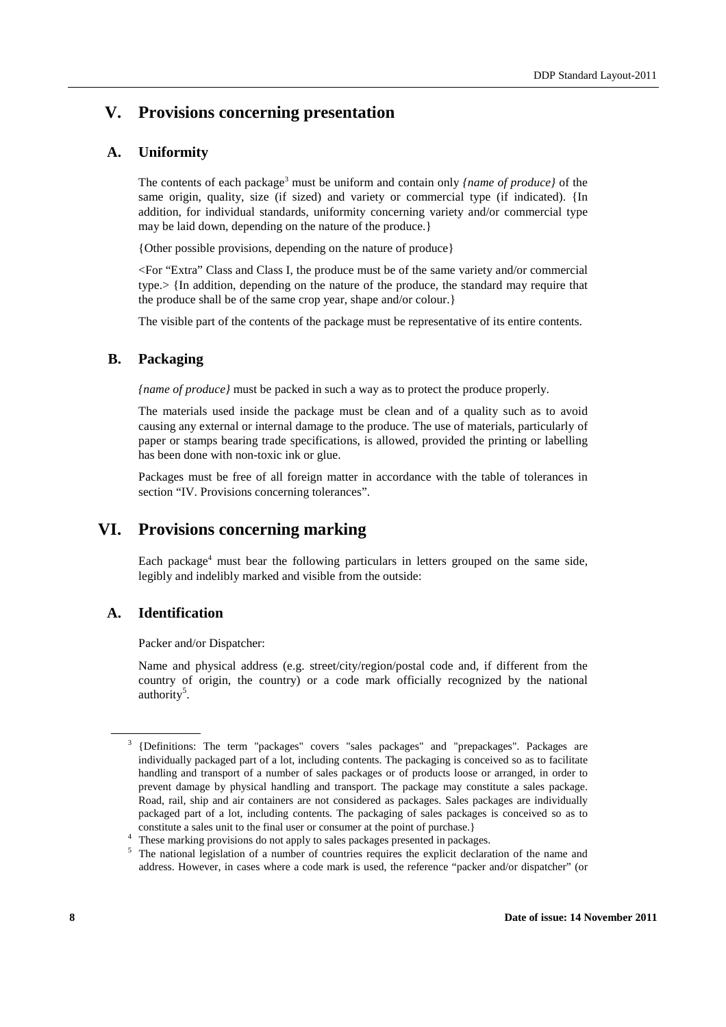# **V. Provisions concerning presentation**

# **A. Uniformity**

The contents of each package<sup>3</sup> must be uniform and contain only *{name of produce}* of the same origin, quality, size (if sized) and variety or commercial type (if indicated). {In addition, for individual standards, uniformity concerning variety and/or commercial type may be laid down, depending on the nature of the produce.}

{Other possible provisions, depending on the nature of produce}

<For "Extra" Class and Class I, the produce must be of the same variety and/or commercial type.> {In addition, depending on the nature of the produce, the standard may require that the produce shall be of the same crop year, shape and/or colour.}

The visible part of the contents of the package must be representative of its entire contents.

### **B. Packaging**

*{name of produce}* must be packed in such a way as to protect the produce properly.

The materials used inside the package must be clean and of a quality such as to avoid causing any external or internal damage to the produce. The use of materials, particularly of paper or stamps bearing trade specifications, is allowed, provided the printing or labelling has been done with non-toxic ink or glue.

Packages must be free of all foreign matter in accordance with the table of tolerances in section "IV. Provisions concerning tolerances".

# **VI. Provisions concerning marking**

Each package<sup>4</sup> must bear the following particulars in letters grouped on the same side, legibly and indelibly marked and visible from the outside:

### **A. Identification**

Packer and/or Dispatcher:

Name and physical address (e.g. street/city/region/postal code and, if different from the country of origin, the country) or a code mark officially recognized by the national authority<sup>5</sup>.

<sup>3</sup>{Definitions: The term "packages" covers "sales packages" and "prepackages". Packages are individually packaged part of a lot, including contents. The packaging is conceived so as to facilitate handling and transport of a number of sales packages or of products loose or arranged, in order to prevent damage by physical handling and transport. The package may constitute a sales package. Road, rail, ship and air containers are not considered as packages. Sales packages are individually packaged part of a lot, including contents. The packaging of sales packages is conceived so as to constitute a sales unit to the final user or consumer at the point of purchase.}

<sup>&</sup>lt;sup>4</sup> These marking provisions do not apply to sales packages presented in packages.

<sup>&</sup>lt;sup>5</sup> The national legislation of a number of countries requires the explicit declaration of the name and address. However, in cases where a code mark is used, the reference "packer and/or dispatcher" (or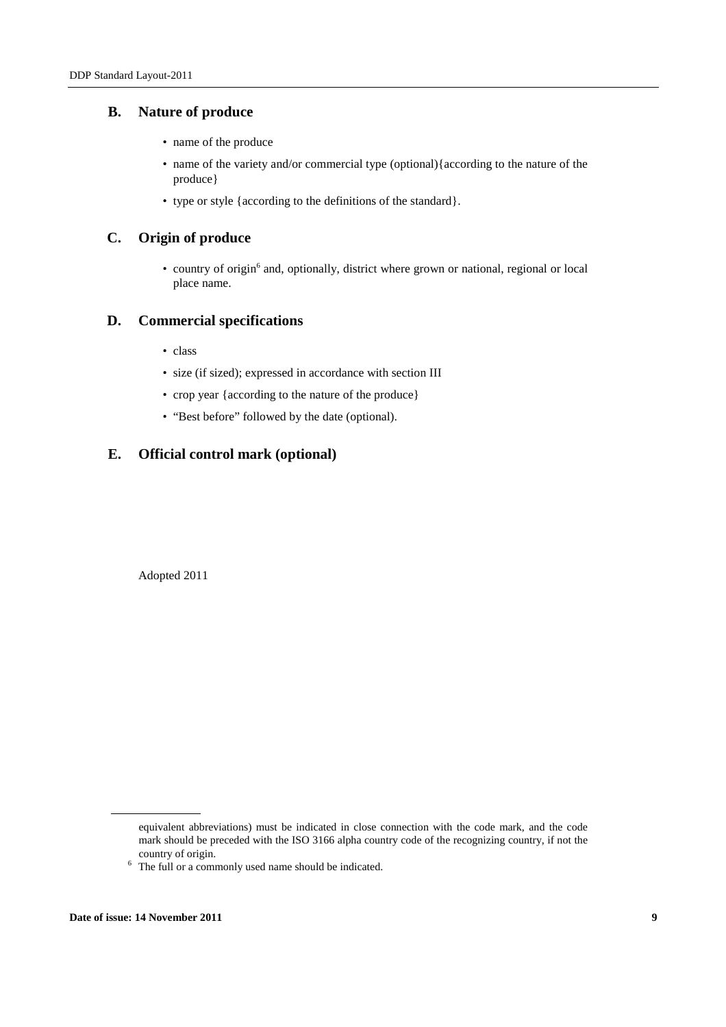### **B. Nature of produce**

- name of the produce
- name of the variety and/or commercial type (optional){according to the nature of the produce}
- type or style {according to the definitions of the standard}.

### **C. Origin of produce**

• country of origin<sup>6</sup> and, optionally, district where grown or national, regional or local place name.

# **D. Commercial specifications**

- class
- size (if sized); expressed in accordance with section III
- crop year {according to the nature of the produce}
- "Best before" followed by the date (optional).

### **E. Official control mark (optional)**

Adopted 2011

equivalent abbreviations) must be indicated in close connection with the code mark, and the code mark should be preceded with the ISO 3166 alpha country code of the recognizing country, if not the country of origin.

 $6$  The full or a commonly used name should be indicated.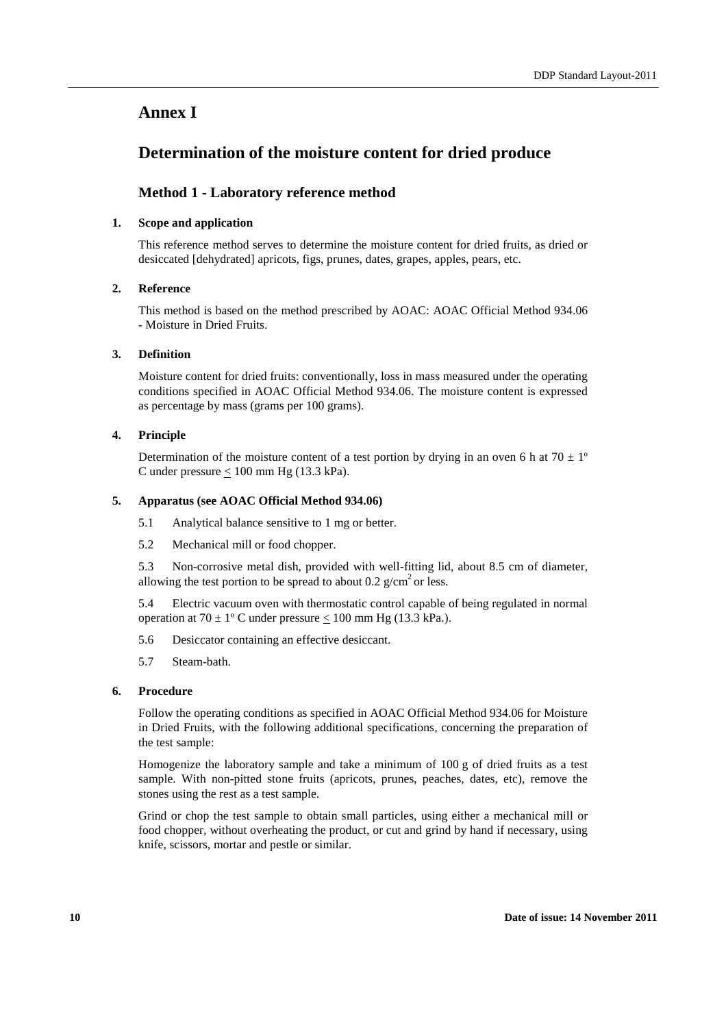# **Annex I**

# **Determination of the moisture content for dried produce**

# **Method 1 - Laboratory reference method**

#### **1. Scope and application**

This reference method serves to determine the moisture content for dried fruits, as dried or desiccated [dehydrated] apricots, figs, prunes, dates, grapes, apples, pears, etc.

#### **2. Reference**

This method is based on the method prescribed by AOAC: AOAC Official Method 934.06 - Moisture in Dried Fruits.

#### **3. Definition**

Moisture content for dried fruits: conventionally, loss in mass measured under the operating conditions specified in AOAC Official Method 934.06. The moisture content is expressed as percentage by mass (grams per 100 grams).

#### **4. Principle**

Determination of the moisture content of a test portion by drying in an oven 6 h at  $70 \pm 1^{\circ}$ C under pressure  $\leq 100$  mm Hg (13.3 kPa).

#### **5. Apparatus (see AOAC Official Method 934.06)**

5.1 Analytical balance sensitive to 1 mg or better.

5.2 Mechanical mill or food chopper.

5.3 Non-corrosive metal dish, provided with well-fitting lid, about 8.5 cm of diameter, allowing the test portion to be spread to about 0.2  $g/cm<sup>2</sup>$  or less.

5.4 Electric vacuum oven with thermostatic control capable of being regulated in normal operation at  $70 \pm 1^{\circ}$  C under pressure  $\leq 100$  mm Hg (13.3 kPa.).

- 5.6 Desiccator containing an effective desiccant.
- 5.7 Steam-bath.

#### **6. Procedure**

Follow the operating conditions as specified in AOAC Official Method 934.06 for Moisture in Dried Fruits, with the following additional specifications, concerning the preparation of the test sample:

Homogenize the laboratory sample and take a minimum of 100 g of dried fruits as a test sample. With non-pitted stone fruits (apricots, prunes, peaches, dates, etc), remove the stones using the rest as a test sample.

Grind or chop the test sample to obtain small particles, using either a mechanical mill or food chopper, without overheating the product, or cut and grind by hand if necessary, using knife, scissors, mortar and pestle or similar.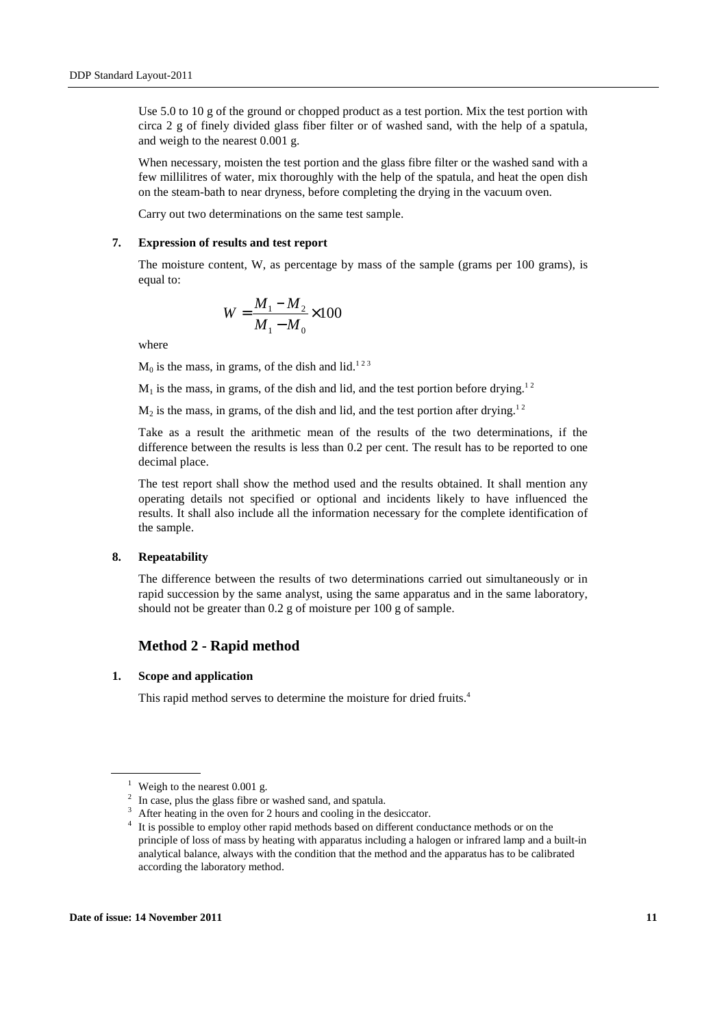Use 5.0 to 10 g of the ground or chopped product as a test portion. Mix the test portion with circa 2 g of finely divided glass fiber filter or of washed sand, with the help of a spatula, and weigh to the nearest 0.001 g.

When necessary, moisten the test portion and the glass fibre filter or the washed sand with a few millilitres of water, mix thoroughly with the help of the spatula, and heat the open dish on the steam-bath to near dryness, before completing the drying in the vacuum oven.

Carry out two determinations on the same test sample.

#### **7. Expression of results and test report**

The moisture content, W, as percentage by mass of the sample (grams per 100 grams), is equal to:

$$
W = \frac{M_1 - M_2}{M_1 - M_0} \times 100
$$

where

 $M_0$  is the mass, in grams, of the dish and lid.<sup>123</sup>

 $M_1$  is the mass, in grams, of the dish and lid, and the test portion before drying.<sup>12</sup>

 $M_2$  is the mass, in grams, of the dish and lid, and the test portion after drying.<sup>12</sup>

Take as a result the arithmetic mean of the results of the two determinations, if the difference between the results is less than 0.2 per cent. The result has to be reported to one decimal place.

The test report shall show the method used and the results obtained. It shall mention any operating details not specified or optional and incidents likely to have influenced the results. It shall also include all the information necessary for the complete identification of the sample.

#### **8. Repeatability**

The difference between the results of two determinations carried out simultaneously or in rapid succession by the same analyst, using the same apparatus and in the same laboratory, should not be greater than 0.2 g of moisture per 100 g of sample.

#### **Method 2 - Rapid method**

#### **1. Scope and application**

This rapid method serves to determine the moisture for dried fruits.<sup>4</sup>

<sup>&</sup>lt;sup>1</sup> Weigh to the nearest 0.001 g.

 $2\;\;$  In case, plus the glass fibre or washed sand, and spatula.

<sup>&</sup>lt;sup>3</sup> After heating in the oven for 2 hours and cooling in the desiccator.

<sup>&</sup>lt;sup>4</sup> It is possible to employ other rapid methods based on different conductance methods or on the principle of loss of mass by heating with apparatus including a halogen or infrared lamp and a built-in analytical balance, always with the condition that the method and the apparatus has to be calibrated according the laboratory method.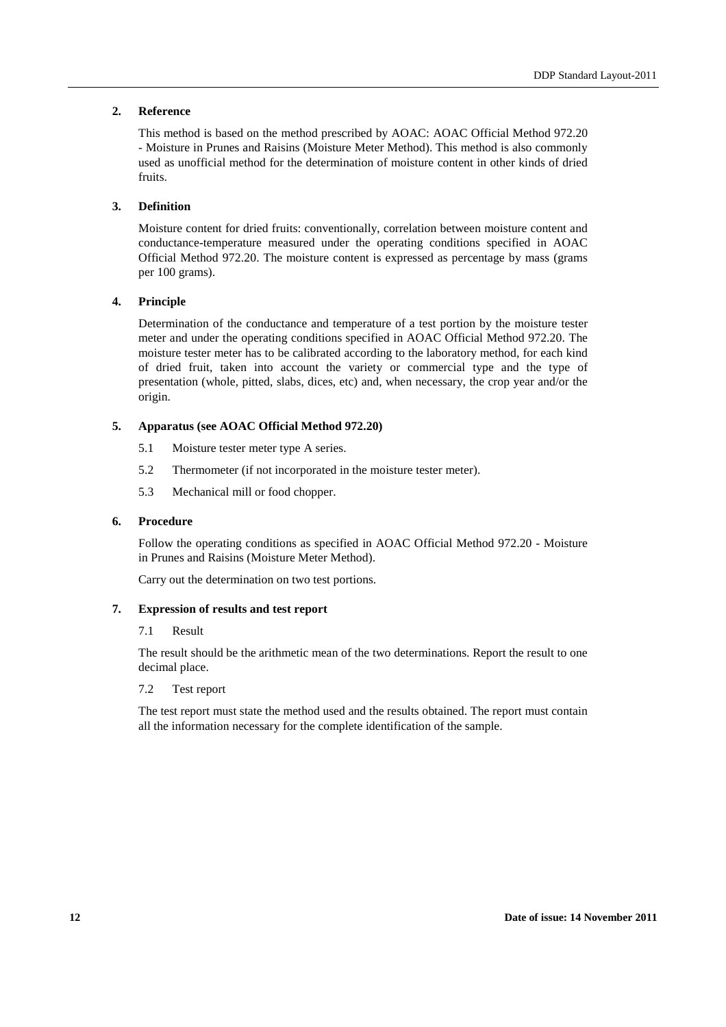#### **2. Reference**

This method is based on the method prescribed by AOAC: AOAC Official Method 972.20 - Moisture in Prunes and Raisins (Moisture Meter Method). This method is also commonly used as unofficial method for the determination of moisture content in other kinds of dried fruits.

#### **3. Definition**

Moisture content for dried fruits: conventionally, correlation between moisture content and conductance-temperature measured under the operating conditions specified in AOAC Official Method 972.20. The moisture content is expressed as percentage by mass (grams per 100 grams).

#### **4. Principle**

Determination of the conductance and temperature of a test portion by the moisture tester meter and under the operating conditions specified in AOAC Official Method 972.20. The moisture tester meter has to be calibrated according to the laboratory method, for each kind of dried fruit, taken into account the variety or commercial type and the type of presentation (whole, pitted, slabs, dices, etc) and, when necessary, the crop year and/or the origin.

#### **5. Apparatus (see AOAC Official Method 972.20)**

- 5.1 Moisture tester meter type A series.
- 5.2 Thermometer (if not incorporated in the moisture tester meter).
- 5.3 Mechanical mill or food chopper.

#### **6. Procedure**

Follow the operating conditions as specified in AOAC Official Method 972.20 - Moisture in Prunes and Raisins (Moisture Meter Method).

Carry out the determination on two test portions.

#### **7. Expression of results and test report**

#### 7.1 Result

The result should be the arithmetic mean of the two determinations. Report the result to one decimal place.

#### 7.2 Test report

The test report must state the method used and the results obtained. The report must contain all the information necessary for the complete identification of the sample.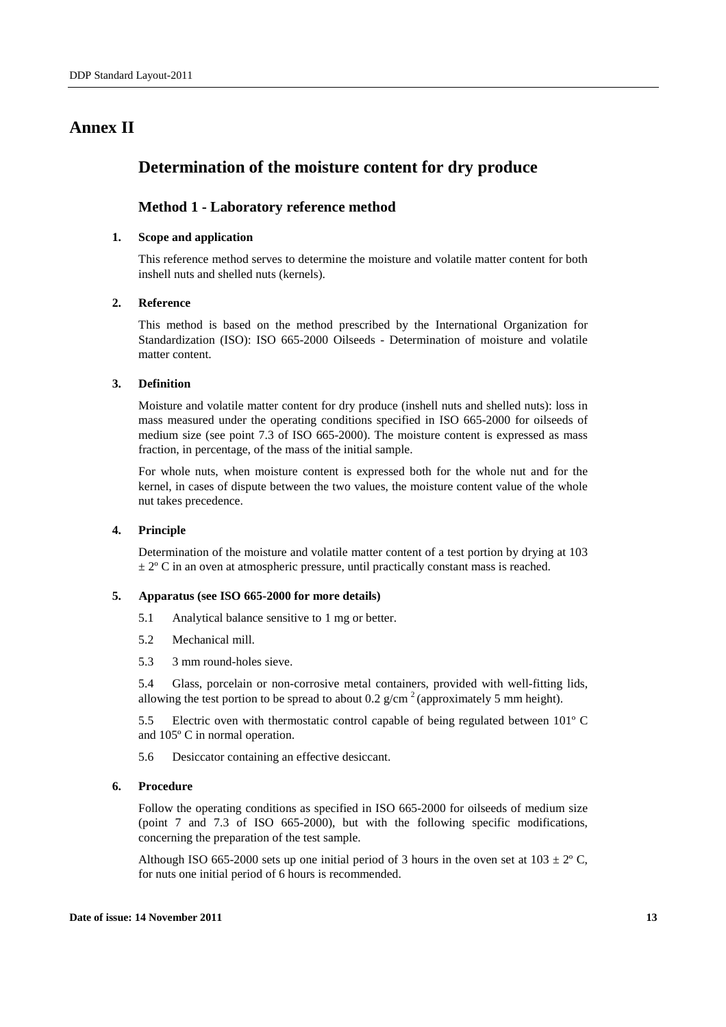# **Annex II**

# **Determination of the moisture content for dry produce**

#### **Method 1 - Laboratory reference method**

#### **1. Scope and application**

This reference method serves to determine the moisture and volatile matter content for both inshell nuts and shelled nuts (kernels).

#### **2. Reference**

This method is based on the method prescribed by the International Organization for Standardization (ISO): ISO 665-2000 Oilseeds - Determination of moisture and volatile matter content.

#### **3. Definition**

Moisture and volatile matter content for dry produce (inshell nuts and shelled nuts): loss in mass measured under the operating conditions specified in ISO 665-2000 for oilseeds of medium size (see point 7.3 of ISO 665-2000). The moisture content is expressed as mass fraction, in percentage, of the mass of the initial sample.

For whole nuts, when moisture content is expressed both for the whole nut and for the kernel, in cases of dispute between the two values, the moisture content value of the whole nut takes precedence.

#### **4. Principle**

Determination of the moisture and volatile matter content of a test portion by drying at 103  $\pm 2^{\circ}$  C in an oven at atmospheric pressure, until practically constant mass is reached.

#### **5. Apparatus (see ISO 665-2000 for more details)**

- 5.1 Analytical balance sensitive to 1 mg or better.
- 5.2 Mechanical mill.
- 5.3 3 mm round-holes sieve.

5.4 Glass, porcelain or non-corrosive metal containers, provided with well-fitting lids, allowing the test portion to be spread to about 0.2  $g/cm^{-2}$  (approximately 5 mm height).

5.5 Electric oven with thermostatic control capable of being regulated between 101º C and 105º C in normal operation.

5.6 Desiccator containing an effective desiccant.

#### **6. Procedure**

Follow the operating conditions as specified in ISO 665-2000 for oilseeds of medium size (point 7 and 7.3 of ISO 665-2000), but with the following specific modifications, concerning the preparation of the test sample.

Although ISO 665-2000 sets up one initial period of 3 hours in the oven set at  $103 \pm 2^{\circ}$  C, for nuts one initial period of 6 hours is recommended.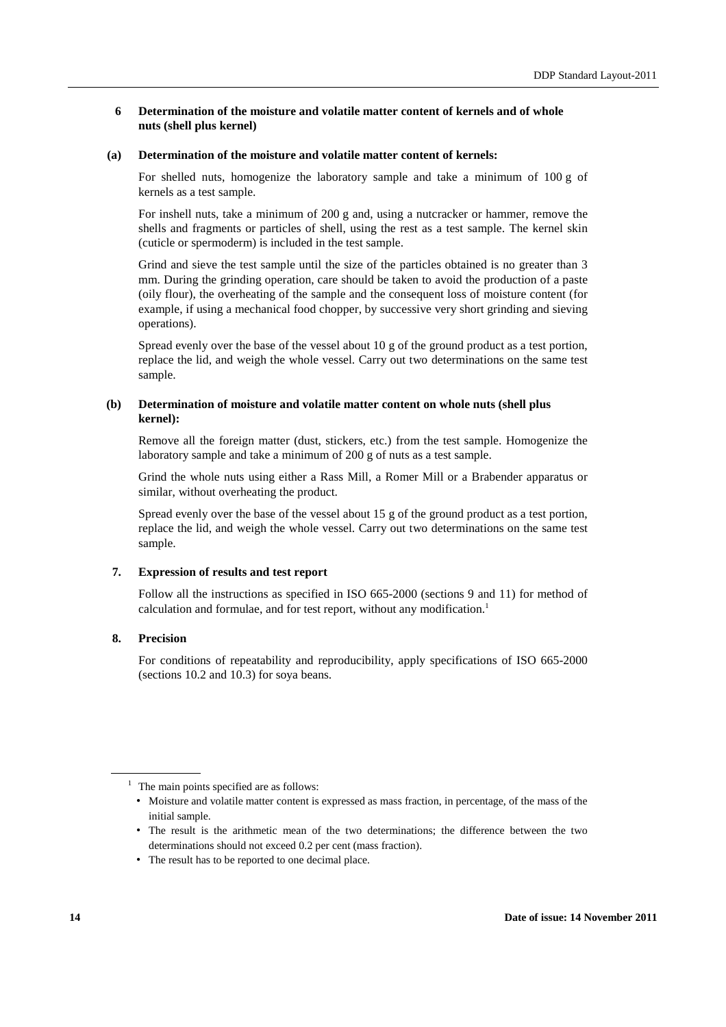#### **6 Determination of the moisture and volatile matter content of kernels and of whole nuts (shell plus kernel)**

#### **(a) Determination of the moisture and volatile matter content of kernels:**

For shelled nuts, homogenize the laboratory sample and take a minimum of 100 g of kernels as a test sample.

For inshell nuts, take a minimum of 200 g and, using a nutcracker or hammer, remove the shells and fragments or particles of shell, using the rest as a test sample. The kernel skin (cuticle or spermoderm) is included in the test sample.

Grind and sieve the test sample until the size of the particles obtained is no greater than 3 mm. During the grinding operation, care should be taken to avoid the production of a paste (oily flour), the overheating of the sample and the consequent loss of moisture content (for example, if using a mechanical food chopper, by successive very short grinding and sieving operations).

Spread evenly over the base of the vessel about 10 g of the ground product as a test portion, replace the lid, and weigh the whole vessel. Carry out two determinations on the same test sample.

#### **(b) Determination of moisture and volatile matter content on whole nuts (shell plus kernel):**

Remove all the foreign matter (dust, stickers, etc.) from the test sample. Homogenize the laboratory sample and take a minimum of 200 g of nuts as a test sample.

Grind the whole nuts using either a Rass Mill, a Romer Mill or a Brabender apparatus or similar, without overheating the product.

Spread evenly over the base of the vessel about 15 g of the ground product as a test portion, replace the lid, and weigh the whole vessel. Carry out two determinations on the same test sample.

#### **7. Expression of results and test report**

Follow all the instructions as specified in ISO 665-2000 (sections 9 and 11) for method of calculation and formulae, and for test report, without any modification.<sup>1</sup>

#### **8. Precision**

For conditions of repeatability and reproducibility, apply specifications of ISO 665-2000 (sections 10.2 and 10.3) for soya beans.

- The result is the arithmetic mean of the two determinations; the difference between the two determinations should not exceed 0.2 per cent (mass fraction).
- The result has to be reported to one decimal place.

<sup>&</sup>lt;sup>1</sup> The main points specified are as follows:

<sup>•</sup> Moisture and volatile matter content is expressed as mass fraction, in percentage, of the mass of the initial sample.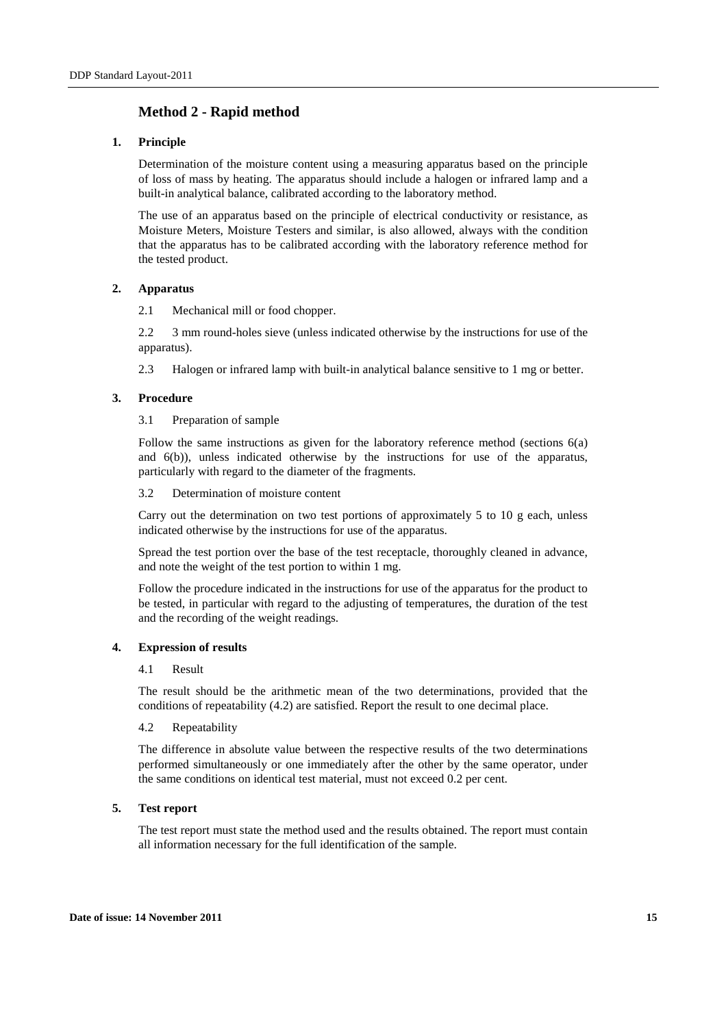# **Method 2 - Rapid method**

#### **1. Principle**

Determination of the moisture content using a measuring apparatus based on the principle of loss of mass by heating. The apparatus should include a halogen or infrared lamp and a built-in analytical balance, calibrated according to the laboratory method.

The use of an apparatus based on the principle of electrical conductivity or resistance, as Moisture Meters, Moisture Testers and similar, is also allowed, always with the condition that the apparatus has to be calibrated according with the laboratory reference method for the tested product.

#### **2. Apparatus**

2.1 Mechanical mill or food chopper.

2.2 3 mm round-holes sieve (unless indicated otherwise by the instructions for use of the apparatus).

2.3 Halogen or infrared lamp with built-in analytical balance sensitive to 1 mg or better.

#### **3. Procedure**

3.1 Preparation of sample

Follow the same instructions as given for the laboratory reference method (sections 6(a) and 6(b)), unless indicated otherwise by the instructions for use of the apparatus, particularly with regard to the diameter of the fragments.

3.2 Determination of moisture content

Carry out the determination on two test portions of approximately 5 to 10 g each, unless indicated otherwise by the instructions for use of the apparatus.

Spread the test portion over the base of the test receptacle, thoroughly cleaned in advance, and note the weight of the test portion to within 1 mg.

Follow the procedure indicated in the instructions for use of the apparatus for the product to be tested, in particular with regard to the adjusting of temperatures, the duration of the test and the recording of the weight readings.

#### **4. Expression of results**

#### 4.1 Result

The result should be the arithmetic mean of the two determinations, provided that the conditions of repeatability (4.2) are satisfied. Report the result to one decimal place.

#### 4.2 Repeatability

The difference in absolute value between the respective results of the two determinations performed simultaneously or one immediately after the other by the same operator, under the same conditions on identical test material, must not exceed 0.2 per cent.

#### **5. Test report**

The test report must state the method used and the results obtained. The report must contain all information necessary for the full identification of the sample.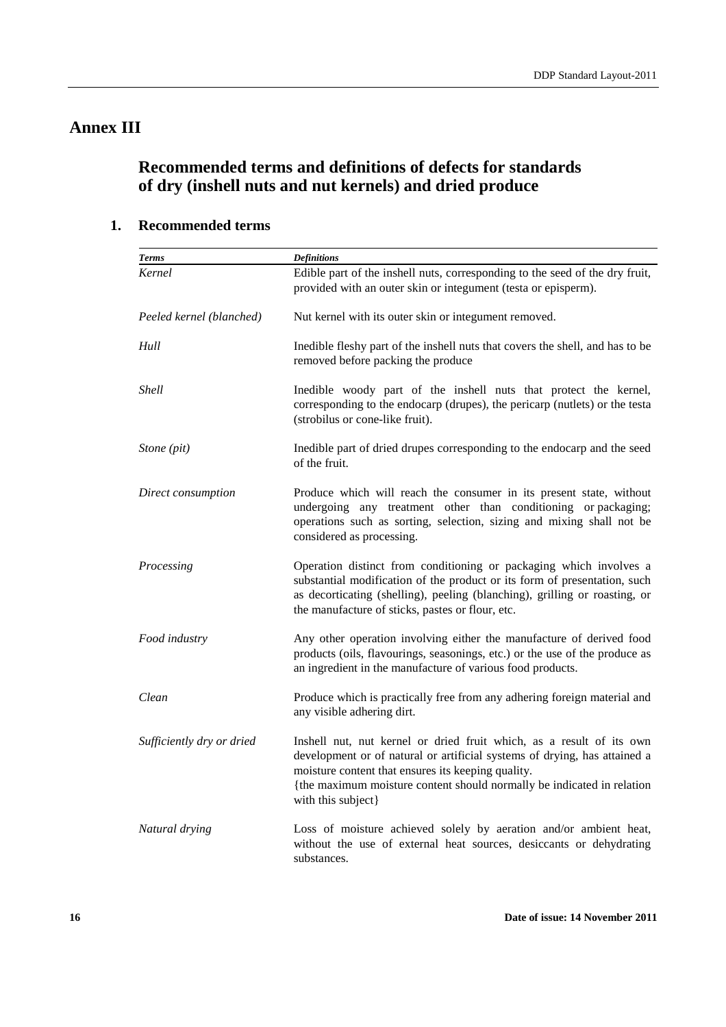# **Annex III**

# **Recommended terms and definitions of defects for standards of dry (inshell nuts and nut kernels) and dried produce**

# **1. Recommended terms**

| <b>Terms</b>              | <b>Definitions</b>                                                                                                                                                                                                                                                                                      |
|---------------------------|---------------------------------------------------------------------------------------------------------------------------------------------------------------------------------------------------------------------------------------------------------------------------------------------------------|
| Kernel                    | Edible part of the inshell nuts, corresponding to the seed of the dry fruit,<br>provided with an outer skin or integument (testa or episperm).                                                                                                                                                          |
| Peeled kernel (blanched)  | Nut kernel with its outer skin or integument removed.                                                                                                                                                                                                                                                   |
| Hull                      | Inedible fleshy part of the inshell nuts that covers the shell, and has to be<br>removed before packing the produce                                                                                                                                                                                     |
| <b>Shell</b>              | Inedible woody part of the inshell nuts that protect the kernel,<br>corresponding to the endocarp (drupes), the pericarp (nutlets) or the testa<br>(strobilus or cone-like fruit).                                                                                                                      |
| Stone (pit)               | Inedible part of dried drupes corresponding to the endocarp and the seed<br>of the fruit.                                                                                                                                                                                                               |
| Direct consumption        | Produce which will reach the consumer in its present state, without<br>undergoing any treatment other than conditioning or packaging;<br>operations such as sorting, selection, sizing and mixing shall not be<br>considered as processing.                                                             |
| Processing                | Operation distinct from conditioning or packaging which involves a<br>substantial modification of the product or its form of presentation, such<br>as decorticating (shelling), peeling (blanching), grilling or roasting, or<br>the manufacture of sticks, pastes or flour, etc.                       |
| Food industry             | Any other operation involving either the manufacture of derived food<br>products (oils, flavourings, seasonings, etc.) or the use of the produce as<br>an ingredient in the manufacture of various food products.                                                                                       |
| Clean                     | Produce which is practically free from any adhering foreign material and<br>any visible adhering dirt.                                                                                                                                                                                                  |
| Sufficiently dry or dried | Inshell nut, nut kernel or dried fruit which, as a result of its own<br>development or of natural or artificial systems of drying, has attained a<br>moisture content that ensures its keeping quality.<br>{the maximum moisture content should normally be indicated in relation<br>with this subject} |
| Natural drying            | Loss of moisture achieved solely by aeration and/or ambient heat,<br>without the use of external heat sources, desiccants or dehydrating<br>substances.                                                                                                                                                 |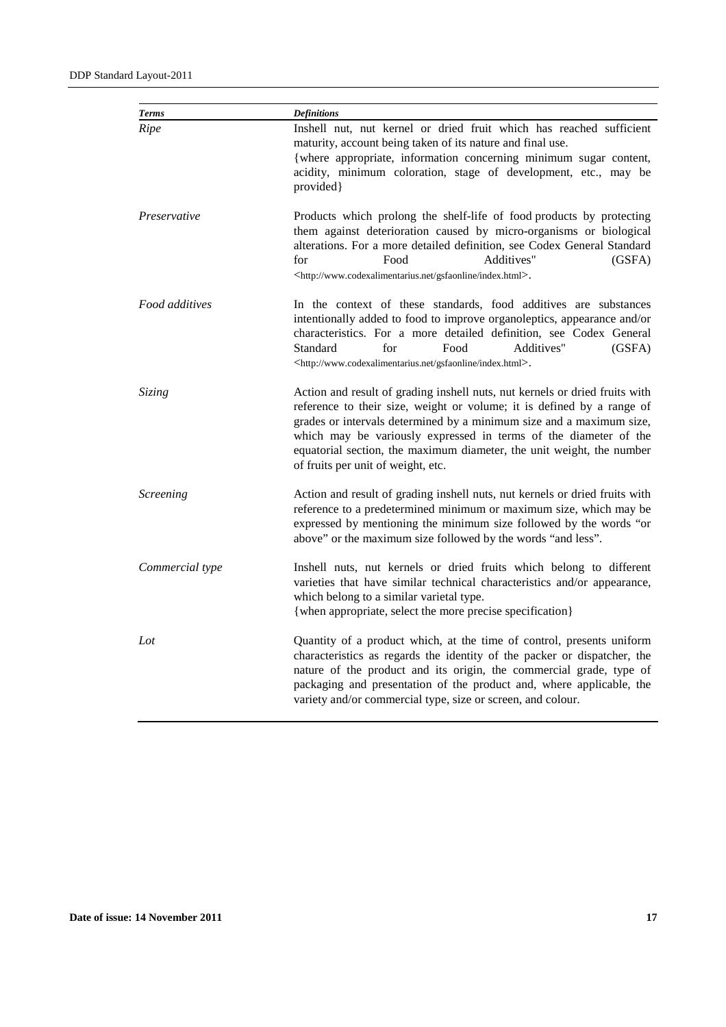| <b>Terms</b>    | <b>Definitions</b>                                                                                                                                                                                                                                                                                                                                                                                               |  |
|-----------------|------------------------------------------------------------------------------------------------------------------------------------------------------------------------------------------------------------------------------------------------------------------------------------------------------------------------------------------------------------------------------------------------------------------|--|
| Ripe            | Inshell nut, nut kernel or dried fruit which has reached sufficient<br>maturity, account being taken of its nature and final use.<br>{where appropriate, information concerning minimum sugar content,<br>acidity, minimum coloration, stage of development, etc., may be<br>provided}                                                                                                                           |  |
| Preservative    | Products which prolong the shelf-life of food products by protecting<br>them against deterioration caused by micro-organisms or biological<br>alterations. For a more detailed definition, see Codex General Standard<br>for<br>Food<br>Additives"<br>(GSFA)<br><http: gsfaonline="" index.html="" www.codexalimentarius.net="">.</http:>                                                                        |  |
| Food additives  | In the context of these standards, food additives are substances<br>intentionally added to food to improve organoleptics, appearance and/or<br>characteristics. For a more detailed definition, see Codex General<br>Standard<br>for<br>Additives"<br>Food<br>(GSFA)<br><http: gsfaonline="" index.html="" www.codexalimentarius.net="">.</http:>                                                                |  |
| Sizing          | Action and result of grading inshell nuts, nut kernels or dried fruits with<br>reference to their size, weight or volume; it is defined by a range of<br>grades or intervals determined by a minimum size and a maximum size,<br>which may be variously expressed in terms of the diameter of the<br>equatorial section, the maximum diameter, the unit weight, the number<br>of fruits per unit of weight, etc. |  |
| Screening       | Action and result of grading inshell nuts, nut kernels or dried fruits with<br>reference to a predetermined minimum or maximum size, which may be<br>expressed by mentioning the minimum size followed by the words "or<br>above" or the maximum size followed by the words "and less".                                                                                                                          |  |
| Commercial type | Inshell nuts, nut kernels or dried fruits which belong to different<br>varieties that have similar technical characteristics and/or appearance,<br>which belong to a similar varietal type.<br>{when appropriate, select the more precise specification}                                                                                                                                                         |  |
| Lot             | Quantity of a product which, at the time of control, presents uniform<br>characteristics as regards the identity of the packer or dispatcher, the<br>nature of the product and its origin, the commercial grade, type of<br>packaging and presentation of the product and, where applicable, the<br>variety and/or commercial type, size or screen, and colour.                                                  |  |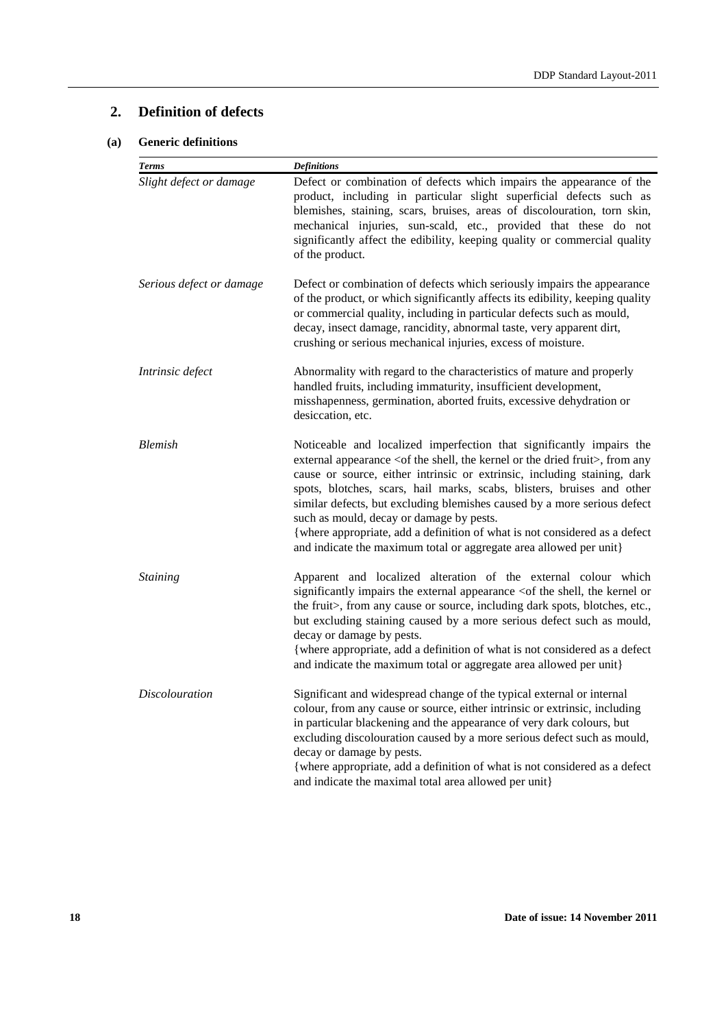# **2. Definition of defects**

## **(a) Generic definitions**

| <b>Terms</b>             | <b>Definitions</b>                                                                                                                                                                                                                                                                                                                                                                                                                                                                                                                                                                                         |
|--------------------------|------------------------------------------------------------------------------------------------------------------------------------------------------------------------------------------------------------------------------------------------------------------------------------------------------------------------------------------------------------------------------------------------------------------------------------------------------------------------------------------------------------------------------------------------------------------------------------------------------------|
| Slight defect or damage  | Defect or combination of defects which impairs the appearance of the<br>product, including in particular slight superficial defects such as<br>blemishes, staining, scars, bruises, areas of discolouration, torn skin,<br>mechanical injuries, sun-scald, etc., provided that these do not<br>significantly affect the edibility, keeping quality or commercial quality<br>of the product.                                                                                                                                                                                                                |
| Serious defect or damage | Defect or combination of defects which seriously impairs the appearance<br>of the product, or which significantly affects its edibility, keeping quality<br>or commercial quality, including in particular defects such as mould,<br>decay, insect damage, rancidity, abnormal taste, very apparent dirt,<br>crushing or serious mechanical injuries, excess of moisture.                                                                                                                                                                                                                                  |
| Intrinsic defect         | Abnormality with regard to the characteristics of mature and properly<br>handled fruits, including immaturity, insufficient development,<br>misshapenness, germination, aborted fruits, excessive dehydration or<br>desiccation, etc.                                                                                                                                                                                                                                                                                                                                                                      |
| <b>Blemish</b>           | Noticeable and localized imperfection that significantly impairs the<br>external appearance <of dried="" fruit="" kernel="" or="" shell,="" the="">, from any<br/>cause or source, either intrinsic or extrinsic, including staining, dark<br/>spots, blotches, scars, hail marks, scabs, blisters, bruises and other<br/>similar defects, but excluding blemishes caused by a more serious defect<br/>such as mould, decay or damage by pests.<br/>{where appropriate, add a definition of what is not considered as a defect<br/>and indicate the maximum total or aggregate area allowed per unit}</of> |
| <b>Staining</b>          | Apparent and localized alteration of the external colour which<br>significantly impairs the external appearance <of kernel="" or<br="" shell,="" the="">the fruit&gt;, from any cause or source, including dark spots, blotches, etc.,<br/>but excluding staining caused by a more serious defect such as mould,<br/>decay or damage by pests.<br/>{where appropriate, add a definition of what is not considered as a defect<br/>and indicate the maximum total or aggregate area allowed per unit}</of>                                                                                                  |
| <i>Discolouration</i>    | Significant and widespread change of the typical external or internal<br>colour, from any cause or source, either intrinsic or extrinsic, including<br>in particular blackening and the appearance of very dark colours, but<br>excluding discolouration caused by a more serious defect such as mould,<br>decay or damage by pests.<br>{where appropriate, add a definition of what is not considered as a defect<br>and indicate the maximal total area allowed per unit}                                                                                                                                |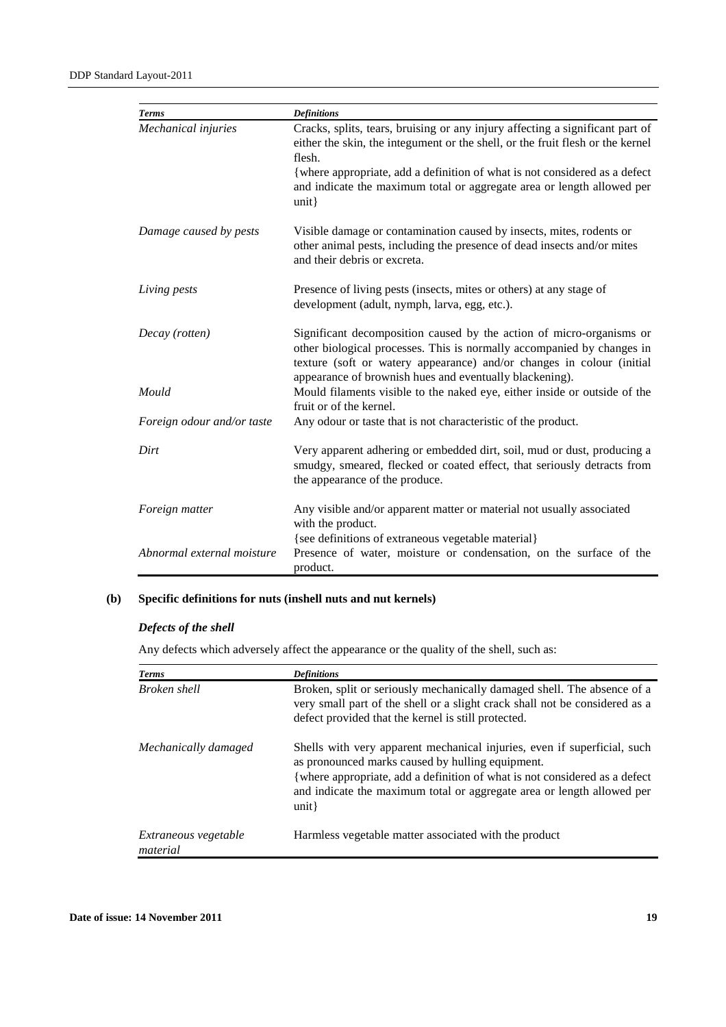| <b>Terms</b>               | <b>Definitions</b>                                                                                                                                                                                                                                                                                                                            |
|----------------------------|-----------------------------------------------------------------------------------------------------------------------------------------------------------------------------------------------------------------------------------------------------------------------------------------------------------------------------------------------|
| Mechanical injuries        | Cracks, splits, tears, bruising or any injury affecting a significant part of<br>either the skin, the integument or the shell, or the fruit flesh or the kernel<br>flesh.<br>{where appropriate, add a definition of what is not considered as a defect<br>and indicate the maximum total or aggregate area or length allowed per<br>$unit$ } |
| Damage caused by pests     | Visible damage or contamination caused by insects, mites, rodents or<br>other animal pests, including the presence of dead insects and/or mites<br>and their debris or excreta.                                                                                                                                                               |
| Living pests               | Presence of living pests (insects, mites or others) at any stage of<br>development (adult, nymph, larva, egg, etc.).                                                                                                                                                                                                                          |
| Decay (rotten)             | Significant decomposition caused by the action of micro-organisms or<br>other biological processes. This is normally accompanied by changes in<br>texture (soft or watery appearance) and/or changes in colour (initial<br>appearance of brownish hues and eventually blackening).                                                            |
| Mould                      | Mould filaments visible to the naked eye, either inside or outside of the<br>fruit or of the kernel.                                                                                                                                                                                                                                          |
| Foreign odour and/or taste | Any odour or taste that is not characteristic of the product.                                                                                                                                                                                                                                                                                 |
| Dirt                       | Very apparent adhering or embedded dirt, soil, mud or dust, producing a<br>smudgy, smeared, flecked or coated effect, that seriously detracts from<br>the appearance of the produce.                                                                                                                                                          |
| Foreign matter             | Any visible and/or apparent matter or material not usually associated<br>with the product.                                                                                                                                                                                                                                                    |
| Abnormal external moisture | {see definitions of extraneous vegetable material}<br>Presence of water, moisture or condensation, on the surface of the<br>product.                                                                                                                                                                                                          |

# **(b) Specific definitions for nuts (inshell nuts and nut kernels)**

#### *Defects of the shell*

Any defects which adversely affect the appearance or the quality of the shell, such as:

| <b>Terms</b>                     | <b>Definitions</b>                                                                                                                                                                                                                                                                           |
|----------------------------------|----------------------------------------------------------------------------------------------------------------------------------------------------------------------------------------------------------------------------------------------------------------------------------------------|
| Broken shell                     | Broken, split or seriously mechanically damaged shell. The absence of a<br>very small part of the shell or a slight crack shall not be considered as a<br>defect provided that the kernel is still protected.                                                                                |
| Mechanically damaged             | Shells with very apparent mechanical injuries, even if superficial, such<br>as pronounced marks caused by hulling equipment.<br>{where appropriate, add a definition of what is not considered as a defect<br>and indicate the maximum total or aggregate area or length allowed per<br>unit |
| Extraneous vegetable<br>material | Harmless vegetable matter associated with the product                                                                                                                                                                                                                                        |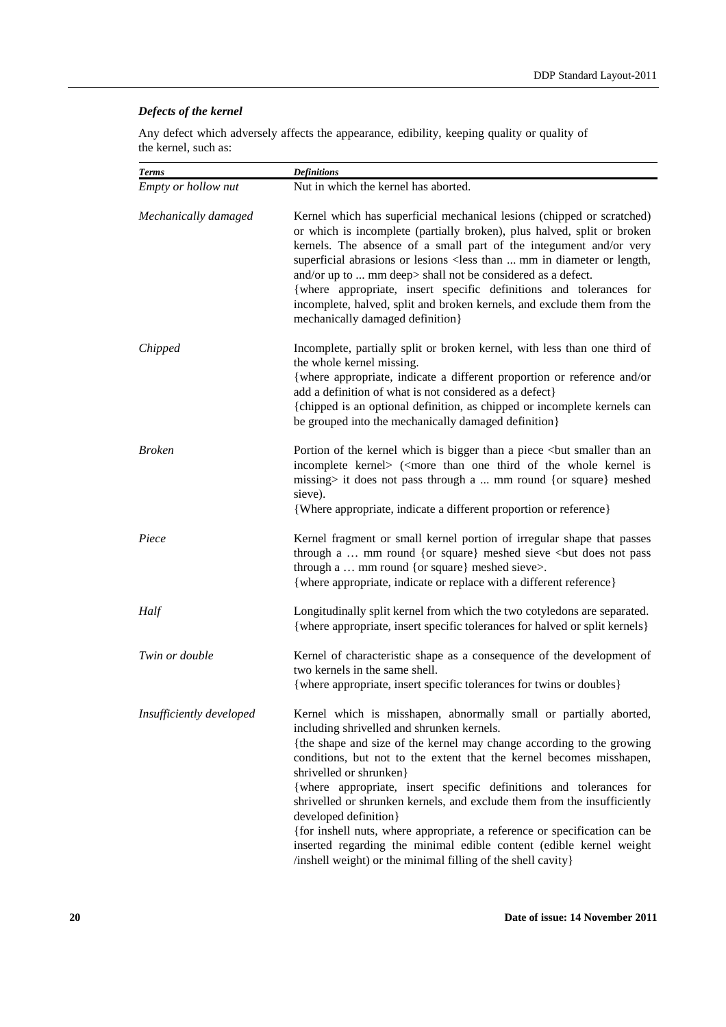### *Defects of the kernel*

Any defect which adversely affects the appearance, edibility, keeping quality or quality of the kernel, such as:

| <b>Terms</b>             | <b>Definitions</b>                                                                                                                                                                                                                                                                                                                                                                                                                                                                                                                                                                                                                                                                         |
|--------------------------|--------------------------------------------------------------------------------------------------------------------------------------------------------------------------------------------------------------------------------------------------------------------------------------------------------------------------------------------------------------------------------------------------------------------------------------------------------------------------------------------------------------------------------------------------------------------------------------------------------------------------------------------------------------------------------------------|
| Empty or hollow nut      | Nut in which the kernel has aborted.                                                                                                                                                                                                                                                                                                                                                                                                                                                                                                                                                                                                                                                       |
| Mechanically damaged     | Kernel which has superficial mechanical lesions (chipped or scratched)<br>or which is incomplete (partially broken), plus halved, split or broken<br>kernels. The absence of a small part of the integument and/or very<br>superficial abrasions or lesions <less diameter="" in="" length,<br="" mm="" or="" than="">and/or up to  mm deep&gt; shall not be considered as a defect.<br/>{where appropriate, insert specific definitions and tolerances for<br/>incomplete, halved, split and broken kernels, and exclude them from the<br/>mechanically damaged definition}</less>                                                                                                        |
| Chipped                  | Incomplete, partially split or broken kernel, with less than one third of<br>the whole kernel missing.<br>{where appropriate, indicate a different proportion or reference and/or<br>add a definition of what is not considered as a defect}<br>{chipped is an optional definition, as chipped or incomplete kernels can<br>be grouped into the mechanically damaged definition}                                                                                                                                                                                                                                                                                                           |
| <b>Broken</b>            | Portion of the kernel which is bigger than a piece<br>but smaller than an<br>incomplete kernel> ( <more is<br="" kernel="" of="" one="" than="" the="" third="" whole="">missing&gt; it does not pass through a  mm round {or square} meshed<br/>sieve).<br>{Where appropriate, indicate a different proportion or reference}</br></more>                                                                                                                                                                                                                                                                                                                                                  |
| Piece                    | Kernel fragment or small kernel portion of irregular shape that passes<br>through a  mm round {or square} meshed sieve<br><br>but does not pass<br>through a  mm round {or square} meshed sieve>.<br>{where appropriate, indicate or replace with a different reference}                                                                                                                                                                                                                                                                                                                                                                                                                   |
| Half                     | Longitudinally split kernel from which the two cotyledons are separated.<br>{where appropriate, insert specific tolerances for halved or split kernels}                                                                                                                                                                                                                                                                                                                                                                                                                                                                                                                                    |
| Twin or double           | Kernel of characteristic shape as a consequence of the development of<br>two kernels in the same shell.<br>{where appropriate, insert specific tolerances for twins or doubles}                                                                                                                                                                                                                                                                                                                                                                                                                                                                                                            |
| Insufficiently developed | Kernel which is misshapen, abnormally small or partially aborted,<br>including shrivelled and shrunken kernels.<br>{the shape and size of the kernel may change according to the growing<br>conditions, but not to the extent that the kernel becomes misshapen,<br>shrivelled or shrunken}<br>{where appropriate, insert specific definitions and tolerances for<br>shrivelled or shrunken kernels, and exclude them from the insufficiently<br>developed definition}<br>{for inshell nuts, where appropriate, a reference or specification can be<br>inserted regarding the minimal edible content (edible kernel weight<br>/inshell weight) or the minimal filling of the shell cavity} |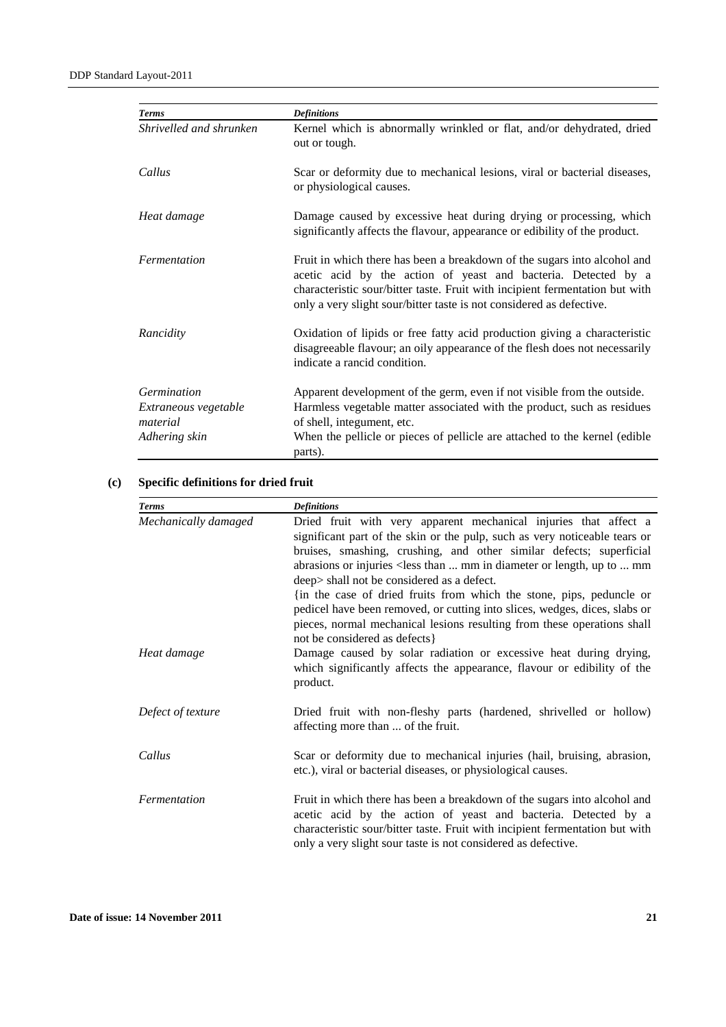| <b>Terms</b>                        | <b>Definitions</b>                                                                                                                                                                                                                                                                                 |
|-------------------------------------|----------------------------------------------------------------------------------------------------------------------------------------------------------------------------------------------------------------------------------------------------------------------------------------------------|
| Shrivelled and shrunken             | Kernel which is abnormally wrinkled or flat, and/or dehydrated, dried<br>out or tough.                                                                                                                                                                                                             |
| Callus                              | Scar or deformity due to mechanical lesions, viral or bacterial diseases,<br>or physiological causes.                                                                                                                                                                                              |
| Heat damage                         | Damage caused by excessive heat during drying or processing, which<br>significantly affects the flavour, appearance or edibility of the product.                                                                                                                                                   |
| Fermentation                        | Fruit in which there has been a breakdown of the sugars into alcohol and<br>acetic acid by the action of yeast and bacteria. Detected by a<br>characteristic sour/bitter taste. Fruit with incipient fermentation but with<br>only a very slight sour/bitter taste is not considered as defective. |
| Rancidity                           | Oxidation of lipids or free fatty acid production giving a characteristic<br>disagreeable flavour; an oily appearance of the flesh does not necessarily<br>indicate a rancid condition.                                                                                                            |
| Germination<br>Extraneous vegetable | Apparent development of the germ, even if not visible from the outside.<br>Harmless vegetable matter associated with the product, such as residues                                                                                                                                                 |
| material<br>Adhering skin           | of shell, integument, etc.<br>When the pellicle or pieces of pellicle are attached to the kernel (edible<br>parts).                                                                                                                                                                                |

### **(c) Specific definitions for dried fruit**

| <b>Terms</b>         | <b>Definitions</b>                                                                                                                                                                                                                                                                                                                                                                                                    |
|----------------------|-----------------------------------------------------------------------------------------------------------------------------------------------------------------------------------------------------------------------------------------------------------------------------------------------------------------------------------------------------------------------------------------------------------------------|
| Mechanically damaged | Dried fruit with very apparent mechanical injuries that affect a<br>significant part of the skin or the pulp, such as very noticeable tears or<br>bruises, smashing, crushing, and other similar defects; superficial<br>abrasions or injuries < less than  mm in diameter or length, up to  mm<br>deep> shall not be considered as a defect.<br>{in the case of dried fruits from which the stone, pips, peduncle or |
|                      | pedicel have been removed, or cutting into slices, wedges, dices, slabs or<br>pieces, normal mechanical lesions resulting from these operations shall<br>not be considered as defects                                                                                                                                                                                                                                 |
| Heat damage          | Damage caused by solar radiation or excessive heat during drying,<br>which significantly affects the appearance, flavour or edibility of the<br>product.                                                                                                                                                                                                                                                              |
| Defect of texture    | Dried fruit with non-fleshy parts (hardened, shrivelled or hollow)<br>affecting more than  of the fruit.                                                                                                                                                                                                                                                                                                              |
| Callus               | Scar or deformity due to mechanical injuries (hail, bruising, abrasion,<br>etc.), viral or bacterial diseases, or physiological causes.                                                                                                                                                                                                                                                                               |
| Fermentation         | Fruit in which there has been a breakdown of the sugars into alcohol and<br>acetic acid by the action of yeast and bacteria. Detected by a<br>characteristic sour/bitter taste. Fruit with incipient fermentation but with<br>only a very slight sour taste is not considered as defective.                                                                                                                           |